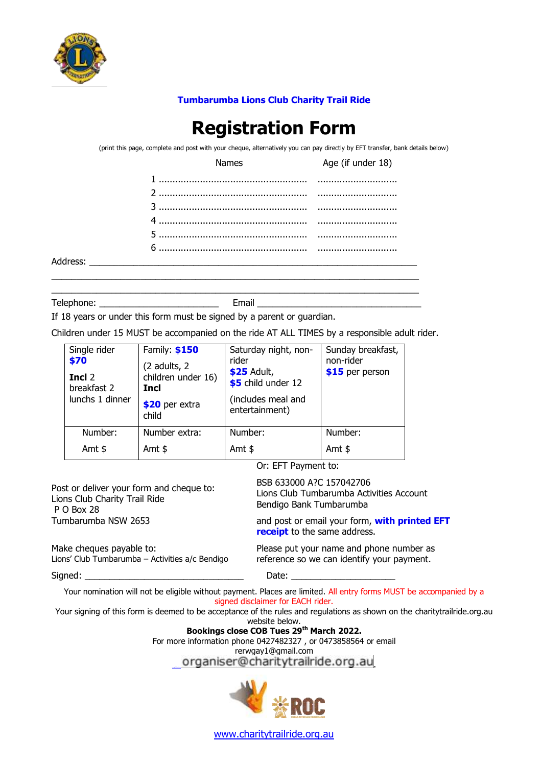

## **Tumbarumba Lions Club Charity Trail Ride**

## **Registration Form**

(print this page, complete and post with your cheque, alternatively you can pay directly by EFT transfer, bank details below)

| Names | Age (if under 18) |
|-------|-------------------|
|       |                   |
|       |                   |
|       |                   |
|       |                   |
|       |                   |
|       |                   |
|       |                   |

Telephone: \_\_\_\_\_\_\_\_\_\_\_\_\_\_\_\_\_\_\_\_\_\_\_\_ Email \_\_\_\_\_\_\_\_\_\_\_\_\_\_\_\_\_\_\_\_\_\_\_\_\_\_\_\_\_\_\_\_\_

If 18 years or under this form must be signed by a parent or guardian.

Children under 15 MUST be accompanied on the ride AT ALL TIMES by a responsible adult rider.

 $\_$  , and the set of the set of the set of the set of the set of the set of the set of the set of the set of the set of the set of the set of the set of the set of the set of the set of the set of the set of the set of th  $\_$  , and the set of the set of the set of the set of the set of the set of the set of the set of the set of the set of the set of the set of the set of the set of the set of the set of the set of the set of the set of th

| Single rider<br>\$70<br>Incl 2<br>breakfast 2<br>lunchs 1 dinner | Family: \$150<br>(2 adults, 2<br>children under 16)<br><b>Incl</b><br>\$20 per extra<br>child | Saturday night, non-<br>rider<br>\$25 Adult,<br>\$5 child under 12<br>(includes meal and<br>entertainment) | Sunday breakfast,<br>non-rider<br>\$15 per person |
|------------------------------------------------------------------|-----------------------------------------------------------------------------------------------|------------------------------------------------------------------------------------------------------------|---------------------------------------------------|
| Number:                                                          | Number extra:                                                                                 | Number:                                                                                                    | Number:                                           |
| Amt $$$                                                          | Amt $$$                                                                                       | Amt $$$                                                                                                    | Amt $$$                                           |

Or: EFT Payment to:

| Post or deliver your form and cheque to:        | BSB 633000 A?C 157042706                                                      |
|-------------------------------------------------|-------------------------------------------------------------------------------|
| Lions Club Charity Trail Ride                   | Lions Club Tumbarumba Activities Account                                      |
| P O Box 28                                      | Bendigo Bank Tumbarumba                                                       |
| Tumbarumba NSW 2653                             | and post or email your form, with printed EFT<br>receipt to the same address. |
| Make cheques payable to:                        | Please put your name and phone number as                                      |
| Lions' Club Tumbarumba - Activities a/c Bendigo | reference so we can identify your payment.                                    |
| Signed:                                         | Date:                                                                         |

Your nomination will not be eligible without payment. Places are limited. All entry forms MUST be accompanied by a signed disclaimer for EACH rider.

Your signing of this form is deemed to be acceptance of the rules and regulations as shown on the charitytrailride.org.au website below.

**Bookings close COB Tues 29th March 2022.**

For more information phone 0427482327 , or 0473858564 or email rerwgay1@gmail.com

organiser@charitytrailride.org.au



[www.charitytrailride.org.au](http://www.charitytrailride.org.au/)